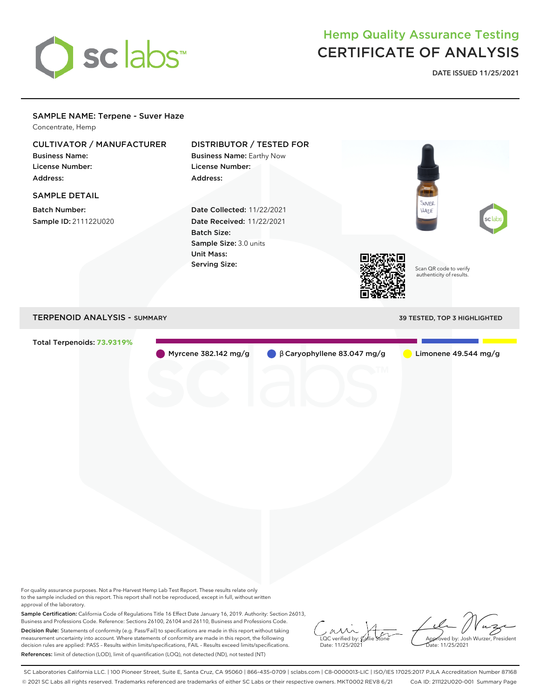

## Hemp Quality Assurance Testing CERTIFICATE OF ANALYSIS

**DATE ISSUED 11/25/2021**

## SAMPLE NAME: Terpene - Suver Haze Concentrate, Hemp CULTIVATOR / MANUFACTURER DISTRIBUTOR / TESTED FOR Business Name: Business Name: Earthy Now License Number: License Number: Address: Address: SAMPLE DETAIL WER Batch Number: Date Collected: 11/22/2021 HAZE Sample ID: 211122U020 Date Received: 11/22/2021 Batch Size: Sample Size: 3.0 units Unit Mass: Serving Size: Scan QR code to verify authenticity of results. TERPENOID ANALYSIS - SUMMARY 39 TESTED, TOP 3 HIGHLIGHTED Total Terpenoids: **73.9319%** Myrcene 382.142 mg/g β Caryophyllene 83.047 mg/g Limonene 49.544 mg/g

For quality assurance purposes. Not a Pre-Harvest Hemp Lab Test Report. These results relate only to the sample included on this report. This report shall not be reproduced, except in full, without written approval of the laboratory.

Sample Certification: California Code of Regulations Title 16 Effect Date January 16, 2019. Authority: Section 26013, Business and Professions Code. Reference: Sections 26100, 26104 and 26110, Business and Professions Code. Decision Rule: Statements of conformity (e.g. Pass/Fail) to specifications are made in this report without taking measurement uncertainty into account. Where statements of conformity are made in this report, the following decision rules are applied: PASS – Results within limits/specifications, FAIL – Results exceed limits/specifications. References: limit of detection (LOD), limit of quantification (LOQ), not detected (ND), not tested (NT)

 $\overline{\text{LOC}}$  verified by:  $\mathcal C$ Date: 11/25/2021

Approved by: Josh Wurzer, President ate: 11/25/2021

SC Laboratories California LLC. | 100 Pioneer Street, Suite E, Santa Cruz, CA 95060 | 866-435-0709 | sclabs.com | C8-0000013-LIC | ISO/IES 17025:2017 PJLA Accreditation Number 87168 © 2021 SC Labs all rights reserved. Trademarks referenced are trademarks of either SC Labs or their respective owners. MKT0002 REV8 6/21 CoA ID: 211122U020-001 Summary Page